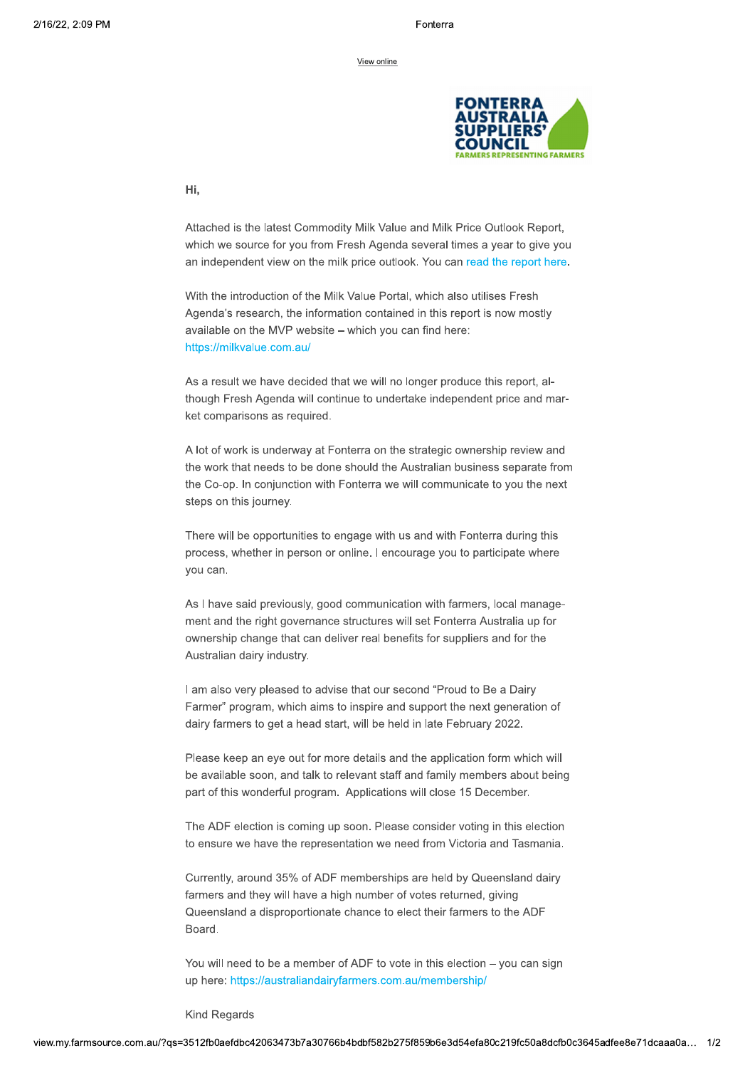

Hi.

Attached is the latest Commodity Milk Value and Milk Price Outlook Report, which we source for you from Fresh Agenda several times a year to give you an independent view on the milk price outlook. You can read the report here.

With the introduction of the Milk Value Portal, which also utilises Fresh Agenda's research, the information contained in this report is now mostly available on the MVP website - which you can find here: https://milkvalue.com.au/

As a result we have decided that we will no longer produce this report, although Fresh Agenda will continue to undertake independent price and market comparisons as required.

A lot of work is underway at Fonterra on the strategic ownership review and the work that needs to be done should the Australian business separate from the Co-op. In conjunction with Fonterra we will communicate to you the next steps on this journey.

There will be opportunities to engage with us and with Fonterra during this process, whether in person or online. I encourage you to participate where vou can.

As I have said previously, good communication with farmers, local management and the right governance structures will set Fonterra Australia up for ownership change that can deliver real benefits for suppliers and for the Australian dairy industry.

I am also very pleased to advise that our second "Proud to Be a Dairy Farmer" program, which aims to inspire and support the next generation of dairy farmers to get a head start, will be held in late February 2022.

Please keep an eye out for more details and the application form which will be available soon, and talk to relevant staff and family members about being part of this wonderful program. Applications will close 15 December.

The ADF election is coming up soon. Please consider voting in this election to ensure we have the representation we need from Victoria and Tasmania.

Currently, around 35% of ADF memberships are held by Queensland dairy farmers and they will have a high number of votes returned, giving Queensland a disproportionate chance to elect their farmers to the ADF Board.

You will need to be a member of ADF to vote in this election - you can sign up here: https://australiandairyfarmers.com.au/membership/

**Kind Regards**